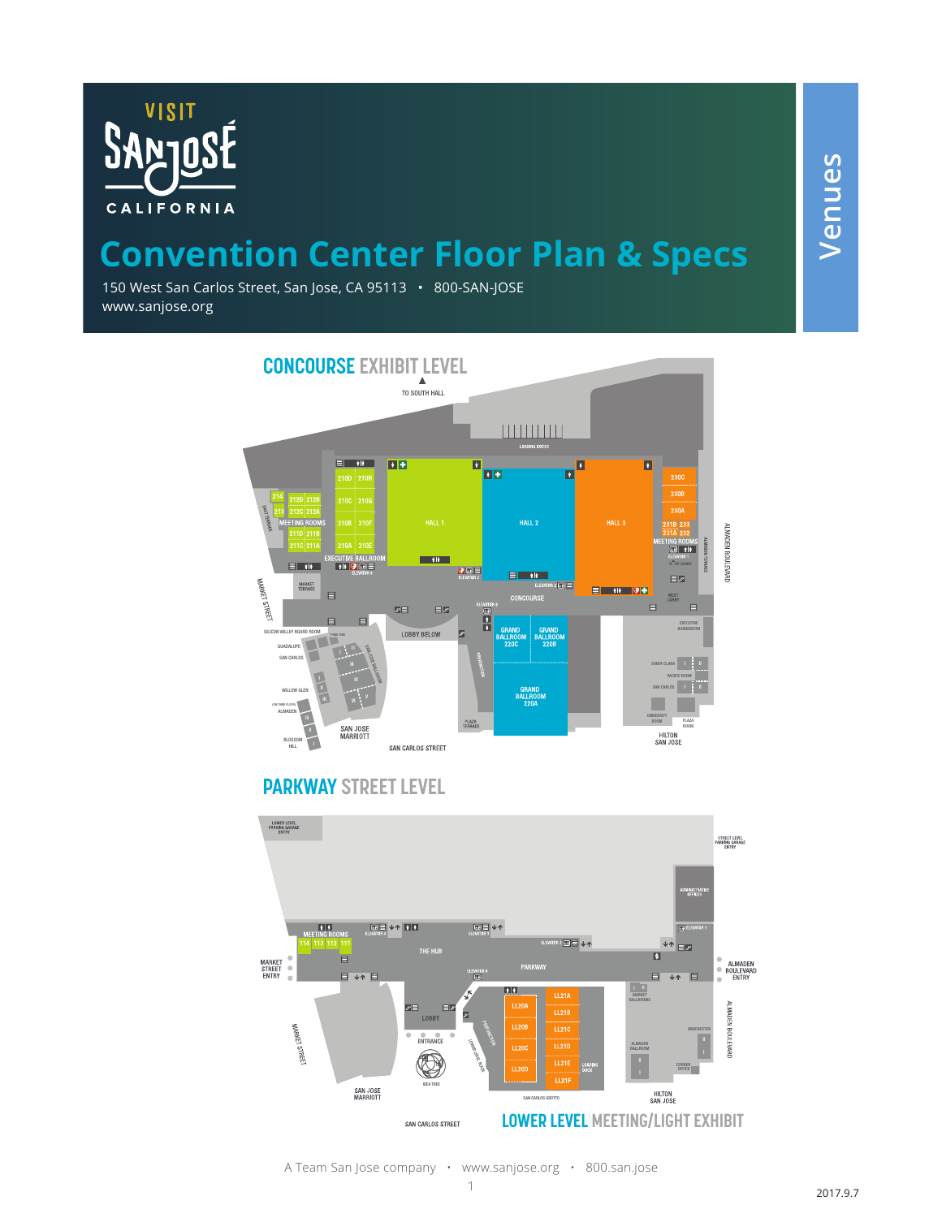

## **Convention Center Floor Plan & Specs**

150 West San Carlos Street, San Jose, CA 95113 • 800-SAN-JOSE www.sanjose.org



## **PARKWAY STREET LEVEL**

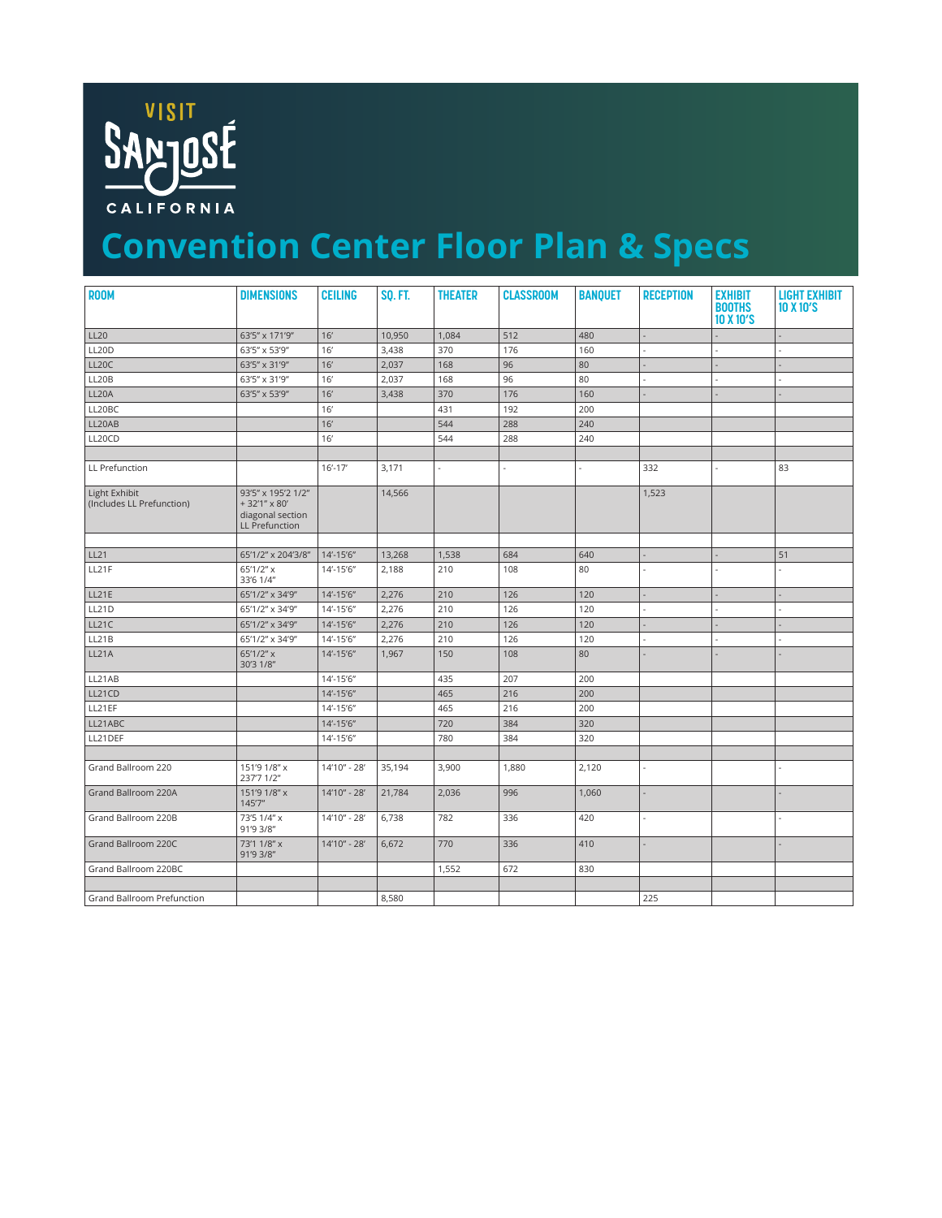

## **Convention Center Floor Plan & Specs**

| <b>ROOM</b>                                | <b>DIMENSIONS</b>                                                               | <b>CEILING</b> | <b>SQ. FT.</b> | <b>THEATER</b> | <b>CLASSROOM</b> | <b>BANQUET</b> | <b>RECEPTION</b> | <b>EXHIBIT</b><br><b>BOOTHS</b> | <b>LIGHT EXHIBIT</b><br>10 X 10'S |
|--------------------------------------------|---------------------------------------------------------------------------------|----------------|----------------|----------------|------------------|----------------|------------------|---------------------------------|-----------------------------------|
|                                            |                                                                                 |                |                |                |                  |                |                  | 10 X 10'S                       |                                   |
| <b>LL20</b>                                | 63'5" x 171'9"                                                                  | 16'            | 10,950         | 1,084          | 512              | 480            |                  |                                 |                                   |
| <b>LL20D</b>                               | 63'5" x 53'9"                                                                   | 16'            | 3,438          | 370            | 176              | 160            |                  |                                 |                                   |
| LL20C                                      | 63'5" x 31'9"                                                                   | 16'            | 2,037          | 168            | 96               | 80             |                  |                                 |                                   |
| LL20B                                      | 63'5" x 31'9"                                                                   | 16'            | 2,037          | 168            | 96               | 80             |                  |                                 |                                   |
| LL20A                                      | 63'5" x 53'9"                                                                   | 16'            | 3,438          | 370            | 176              | 160            |                  |                                 |                                   |
| LL20BC                                     |                                                                                 | 16'            |                | 431            | 192              | 200            |                  |                                 |                                   |
| LL20AB                                     |                                                                                 | 16'            |                | 544            | 288              | 240            |                  |                                 |                                   |
| LL20CD                                     |                                                                                 | 16'            |                | 544            | 288              | 240            |                  |                                 |                                   |
|                                            |                                                                                 |                |                |                |                  |                |                  |                                 |                                   |
| LL Prefunction                             |                                                                                 | $16' - 17'$    | 3,171          | $\sim$         | $\overline{a}$   | ÷              | 332              | $\sim$                          | 83                                |
| Light Exhibit<br>(Includes LL Prefunction) | 93'5" x 195'2 1/2"<br>+32'1" x 80'<br>diagonal section<br><b>LL Prefunction</b> |                | 14,566         |                |                  |                | 1,523            |                                 |                                   |
|                                            |                                                                                 |                |                |                |                  |                |                  |                                 |                                   |
| LL21                                       | 65'1/2" x 204'3/8"                                                              | 14'-15'6"      | 13,268         | 1,538          | 684              | 640            |                  |                                 | 51                                |
| LL21F                                      | $65'1/2''$ x<br>33'6 1/4"                                                       | 14'-15'6"      | 2,188          | 210            | 108              | 80             | ä,               |                                 |                                   |
| <b>LL21E</b>                               | 65'1/2" x 34'9"                                                                 | 14'-15'6"      | 2,276          | 210            | 126              | 120            |                  |                                 |                                   |
| LL21D                                      | 65'1/2" x 34'9"                                                                 | 14'-15'6"      | 2,276          | 210            | 126              | 120            |                  |                                 |                                   |
| LL21C                                      | 65'1/2" x 34'9"                                                                 | 14'-15'6"      | 2,276          | 210            | 126              | 120            |                  | ÷,                              | $\overline{a}$                    |
| LL21B                                      | 65'1/2" x 34'9"                                                                 | 14'-15'6"      | 2,276          | 210            | 126              | 120            |                  |                                 |                                   |
| LL21A                                      | 65'1/2" x<br>30'3 1/8"                                                          | $14' - 15'6''$ | 1,967          | 150            | 108              | 80             |                  |                                 |                                   |
| LL21AB                                     |                                                                                 | 14'-15'6"      |                | 435            | 207              | 200            |                  |                                 |                                   |
| LL21CD                                     |                                                                                 | 14'-15'6"      |                | 465            | 216              | 200            |                  |                                 |                                   |
| LL21EF                                     |                                                                                 | 14'-15'6"      |                | 465            | 216              | 200            |                  |                                 |                                   |
| LL21ABC                                    |                                                                                 | 14'-15'6"      |                | 720            | 384              | 320            |                  |                                 |                                   |
| LL21DEF                                    |                                                                                 | 14'-15'6"      |                | 780            | 384              | 320            |                  |                                 |                                   |
|                                            |                                                                                 |                |                |                |                  |                |                  |                                 |                                   |
| Grand Ballroom 220                         | 151'9 1/8" x<br>237'7 1/2"                                                      | 14'10" - 28'   | 35,194         | 3,900          | 1,880            | 2,120          | ÷.               |                                 |                                   |
| Grand Ballroom 220A                        | 151'9 1/8" x<br>145'7"                                                          | 14'10" - 28'   | 21,784         | 2,036          | 996              | 1,060          | ä,               |                                 |                                   |
| Grand Ballroom 220B                        | 73'5 1/4" x<br>91'9 3/8"                                                        | 14'10" - 28'   | 6,738          | 782            | 336              | 420            | ÷,               |                                 |                                   |
| Grand Ballroom 220C                        | 73'1 1/8" x<br>91'9 3/8"                                                        | 14'10" - 28'   | 6,672          | 770            | 336              | 410            |                  |                                 |                                   |
| Grand Ballroom 220BC                       |                                                                                 |                |                | 1,552          | 672              | 830            |                  |                                 |                                   |
|                                            |                                                                                 |                |                |                |                  |                |                  |                                 |                                   |
| <b>Grand Ballroom Prefunction</b>          |                                                                                 |                | 8,580          |                |                  |                | 225              |                                 |                                   |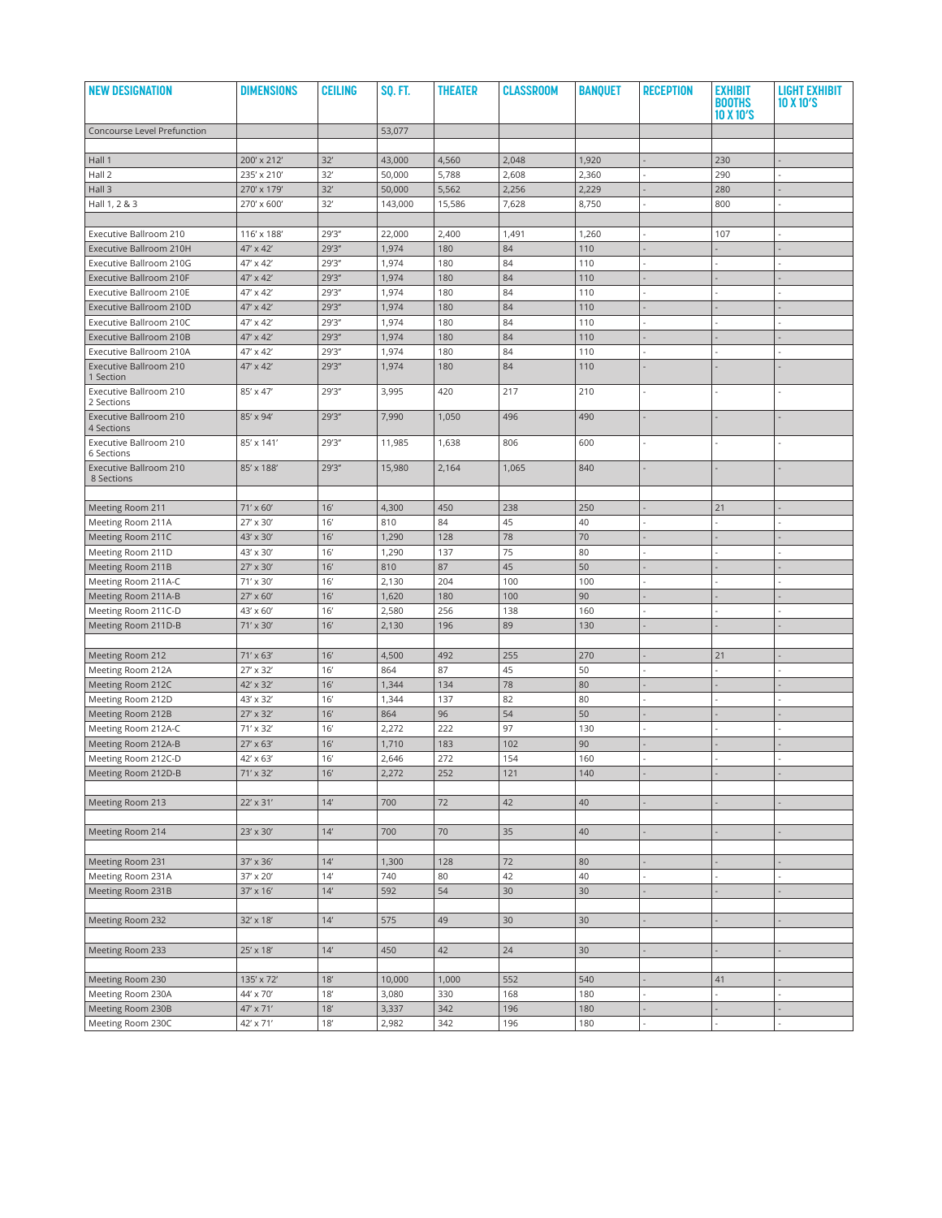| <b>NEW DESIGNATION</b>                | <b>DIMENSIONS</b>              | <b>CEILING</b> | <b>SO. FT.</b> | <b>THEATER</b> | <b>CLASSROOM</b> | <b>BANQUET</b> | <b>RECEPTION</b> | <b>EXHIBIT</b><br><b>BOOTHS</b> | <b>LIGHT EXHIBIT</b><br>10X10'S |
|---------------------------------------|--------------------------------|----------------|----------------|----------------|------------------|----------------|------------------|---------------------------------|---------------------------------|
|                                       |                                |                |                |                |                  |                |                  | 10 X 10'S                       |                                 |
| Concourse Level Prefunction           |                                |                | 53,077         |                |                  |                |                  |                                 |                                 |
| Hall 1                                | 200' x 212'                    | 32'            | 43,000         | 4,560          | 2,048            | 1,920          |                  | 230                             |                                 |
| Hall 2                                | 235' x 210'                    | 32'            | 50,000         | 5,788          | 2,608            | 2,360          |                  | 290                             |                                 |
| Hall 3                                | 270' x 179'                    | 32'            | 50,000         | 5,562          | 2,256            | 2,229          |                  | 280                             |                                 |
| Hall 1, 2 & 3                         | 270' x 600'                    | 32'            | 143,000        | 15,586         | 7,628            | 8,750          |                  | 800                             |                                 |
|                                       |                                |                |                |                |                  |                |                  |                                 |                                 |
| Executive Ballroom 210                | 116' x 188'                    | 29'3"          | 22,000         | 2,400          | 1,491            | 1,260          |                  | 107                             |                                 |
| Executive Ballroom 210H               | 47' x 42'                      | 29'3"          | 1,974          | 180            | 84               | 110            |                  |                                 |                                 |
| Executive Ballroom 210G               | 47' x 42'                      | 29'3"          | 1,974          | 180            | 84               | 110            |                  |                                 |                                 |
| Executive Ballroom 210F               | 47' x 42'                      | 29'3"          | 1,974          | 180            | 84               | 110            |                  |                                 |                                 |
| Executive Ballroom 210E               | 47' x 42'                      | 29'3"          | 1,974          | 180            | 84               | 110            |                  |                                 |                                 |
| Executive Ballroom 210D               | 47' x 42'                      | 29'3"          | 1,974          | 180            | 84               | 110            |                  |                                 |                                 |
| Executive Ballroom 210C               | 47' x 42'                      | 29'3"          | 1,974          | 180            | 84               | 110            |                  |                                 |                                 |
| Executive Ballroom 210B               | 47' x 42'                      | 29'3"          | 1,974          | 180            | 84               | 110            |                  |                                 |                                 |
| Executive Ballroom 210A               | 47' x 42'                      | 29'3"          | 1,974          | 180            | 84               | 110            |                  |                                 |                                 |
| Executive Ballroom 210<br>1 Section   | 47' x 42'                      | 29'3"          | 1,974          | 180            | 84               | 110            |                  |                                 |                                 |
| Executive Ballroom 210<br>2 Sections  | 85' x 47'                      | 29'3"          | 3,995          | 420            | 217              | 210            |                  |                                 |                                 |
| Executive Ballroom 210<br>4 Sections  | 85' x 94'                      | 29'3"          | 7,990          | 1,050          | 496              | 490            |                  |                                 |                                 |
| Executive Ballroom 210<br>6 Sections  | 85' x 141'                     | 29'3"          | 11,985         | 1,638          | 806              | 600            |                  |                                 |                                 |
| Executive Ballroom 210<br>8 Sections  | 85' x 188'                     | 29'3"          | 15,980         | 2,164          | 1,065            | 840            |                  |                                 |                                 |
|                                       |                                |                |                |                |                  |                |                  |                                 |                                 |
| <b>Meeting Room 211</b>               | $71' \times 60'$               | 16'            | 4,300          | 450            | 238              | 250            |                  | 21                              |                                 |
| Meeting Room 211A                     | 27' x 30'                      | 16'            | 810            | 84             | 45               | 40             |                  |                                 |                                 |
| Meeting Room 211C                     | 43' x 30'                      | 16'            | 1,290          | 128            | 78               | 70             |                  |                                 |                                 |
| Meeting Room 211D                     | 43' x 30'                      | 16'            | 1,290          | 137            | 75               | 80             |                  |                                 |                                 |
| Meeting Room 211B                     | 27' x 30'                      | 16'            | 810            | 87             | 45               | 50             |                  |                                 |                                 |
| Meeting Room 211A-C                   | 71' x 30'                      | 16'            | 2,130          | 204            | 100              | 100            |                  |                                 |                                 |
| Meeting Room 211A-B                   | 27' x 60'                      | 16'            | 1,620          | 180            | 100              | 90             |                  |                                 |                                 |
| Meeting Room 211C-D                   | 43' x 60'                      | 16'            | 2,580          | 256            | 138              | 160            |                  |                                 |                                 |
| Meeting Room 211D-B                   | 71' x 30'                      | 16'            | 2,130          | 196            | 89               | 130            |                  |                                 |                                 |
|                                       |                                |                |                |                |                  |                |                  |                                 |                                 |
| Meeting Room 212                      | 71' x 63'                      | 16'            | 4,500          | 492            | 255              | 270            |                  | 21                              |                                 |
| Meeting Room 212A                     | 27' x 32'                      | 16'            | 864            | 87             | 45               | 50             |                  |                                 |                                 |
| Meeting Room 212C                     | 42' x 32'                      | 16'            | 1,344          | 134            | 78               | 80             |                  |                                 |                                 |
| Meeting Room 212D                     | 43' x 32'                      | 16'            | 1,344          | 137            | 82               | 80             |                  |                                 |                                 |
| Meeting Room 212B                     | 27' x 32'                      | 16'            | 864            | 96             | 54               | 50             |                  |                                 |                                 |
| Meeting Room 212A-C                   | 71' x 32'                      | 16'            | 2,272          | 222            | 97               | 130            |                  |                                 |                                 |
| Meeting Room 212A-B                   | 27' x 63'                      | 16'            | 1,710          | 183            | 102              | 90             |                  |                                 |                                 |
| Meeting Room 212C-D                   | 42' x 63'                      | 16'            | 2,646          | 272            | 154              | 160            |                  |                                 |                                 |
| Meeting Room 212D-B                   | 71' x 32'                      | 16'            | 2,272          | 252            | 121              | 140            |                  |                                 |                                 |
|                                       |                                |                |                |                |                  |                |                  |                                 |                                 |
| Meeting Room 213                      | 22' x 31'                      | $14'$          | 700            | 72             | 42               | 40             |                  |                                 |                                 |
|                                       |                                |                |                |                |                  |                |                  |                                 |                                 |
| Meeting Room 214                      | 23' x 30'                      | 14'            | 700            | 70             | 35               | 40             |                  |                                 |                                 |
|                                       |                                |                |                |                |                  |                |                  |                                 |                                 |
| Meeting Room 231<br>Meeting Room 231A | 37' x 36'<br>37' x 20'         | $14'$<br>14'   | 1,300<br>740   | 128<br>80      | 72<br>42         | 80<br>40       |                  |                                 |                                 |
|                                       |                                | $14'$          |                | 54             | 30               |                |                  |                                 |                                 |
| Meeting Room 231B                     | 37' x 16'                      |                | 592            |                |                  | 30             |                  |                                 |                                 |
| Meeting Room 232                      | 32' x 18'                      | $14'$          | 575            | 49             | 30               | 30             |                  |                                 |                                 |
|                                       |                                |                |                |                |                  |                |                  |                                 |                                 |
| Meeting Room 233                      | 25' x 18'                      | $14'$          | 450            | 42             | 24               | 30             |                  |                                 |                                 |
|                                       |                                |                |                |                |                  |                |                  |                                 |                                 |
| Meeting Room 230                      | 135' x 72'                     | $18'$          | 10,000         | 1,000          | 552              | 540            |                  | 41                              |                                 |
| Meeting Room 230A                     | 44' x 70'                      | $18^{\prime}$  | 3,080          | 330            | 168              | 180            | L                |                                 |                                 |
| Meeting Room 230B                     | 47' x 71'                      | $18'$          | 3,337          | 342            | 196              | 180            |                  |                                 |                                 |
| Meeting Room 230C                     | $42^{\prime}\times71^{\prime}$ | $18^{\prime}$  | 2,982          | 342            | 196              | 180            |                  |                                 |                                 |
|                                       |                                |                |                |                |                  |                |                  |                                 |                                 |